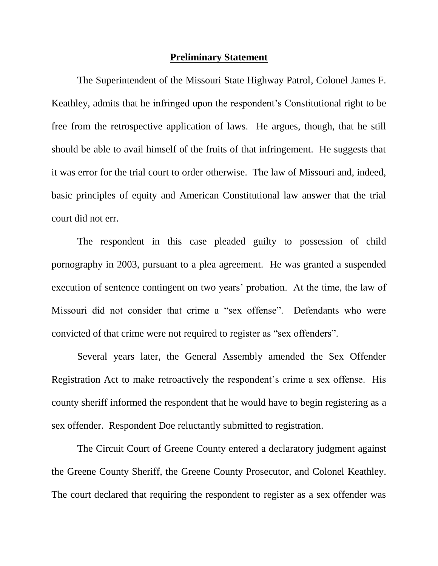#### **Preliminary Statement**

The Superintendent of the Missouri State Highway Patrol, Colonel James F. Keathley, admits that he infringed upon the respondent's Constitutional right to be free from the retrospective application of laws. He argues, though, that he still should be able to avail himself of the fruits of that infringement. He suggests that it was error for the trial court to order otherwise. The law of Missouri and, indeed, basic principles of equity and American Constitutional law answer that the trial court did not err.

The respondent in this case pleaded guilty to possession of child pornography in 2003, pursuant to a plea agreement. He was granted a suspended execution of sentence contingent on two years' probation. At the time, the law of Missouri did not consider that crime a "sex offense". Defendants who were convicted of that crime were not required to register as "sex offenders".

Several years later, the General Assembly amended the Sex Offender Registration Act to make retroactively the respondent's crime a sex offense. His county sheriff informed the respondent that he would have to begin registering as a sex offender. Respondent Doe reluctantly submitted to registration.

The Circuit Court of Greene County entered a declaratory judgment against the Greene County Sheriff, the Greene County Prosecutor, and Colonel Keathley. The court declared that requiring the respondent to register as a sex offender was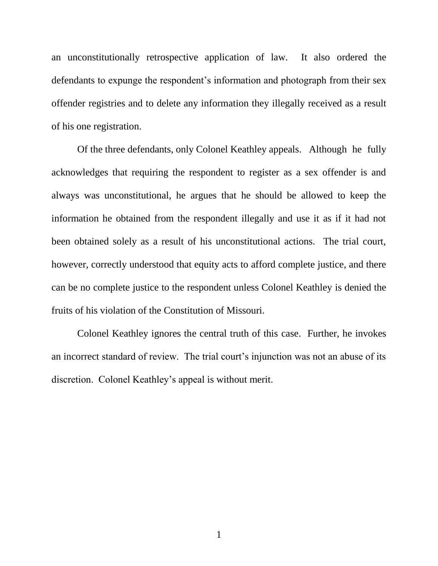an unconstitutionally retrospective application of law. It also ordered the defendants to expunge the respondent's information and photograph from their sex offender registries and to delete any information they illegally received as a result of his one registration.

Of the three defendants, only Colonel Keathley appeals. Although he fully acknowledges that requiring the respondent to register as a sex offender is and always was unconstitutional, he argues that he should be allowed to keep the information he obtained from the respondent illegally and use it as if it had not been obtained solely as a result of his unconstitutional actions. The trial court, however, correctly understood that equity acts to afford complete justice, and there can be no complete justice to the respondent unless Colonel Keathley is denied the fruits of his violation of the Constitution of Missouri.

Colonel Keathley ignores the central truth of this case. Further, he invokes an incorrect standard of review. The trial court's injunction was not an abuse of its discretion. Colonel Keathley's appeal is without merit.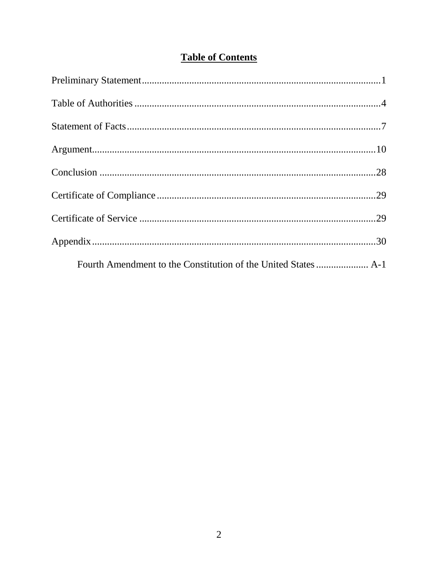# **Table of Contents**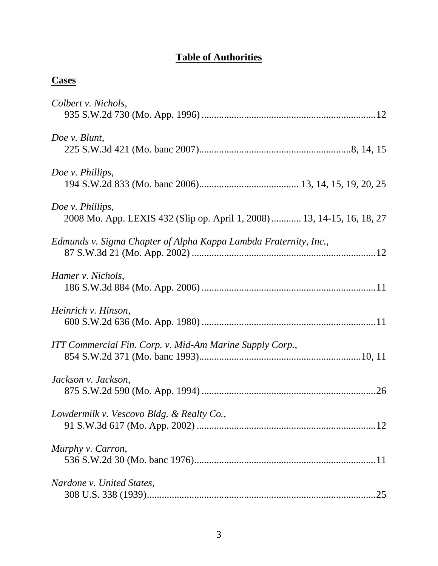# **Table of Authorities**

| ч<br>ı.<br>÷, |
|---------------|
|---------------|

| Colbert v. Nichols,                                                                         |
|---------------------------------------------------------------------------------------------|
| Doe v. Blunt,                                                                               |
| Doe v. Phillips,                                                                            |
| Doe v. Phillips,<br>2008 Mo. App. LEXIS 432 (Slip op. April 1, 2008)  13, 14-15, 16, 18, 27 |
| Edmunds v. Sigma Chapter of Alpha Kappa Lambda Fraternity, Inc.,                            |
| Hamer v. Nichols,                                                                           |
| Heinrich v. Hinson,                                                                         |
| ITT Commercial Fin. Corp. v. Mid-Am Marine Supply Corp.,                                    |
| Jackson v. Jackson,                                                                         |
| Lowdermilk v. Vescovo Bldg. & Realty Co.,                                                   |
| Murphy v. Carron,                                                                           |
| Nardone v. United States,<br>.25                                                            |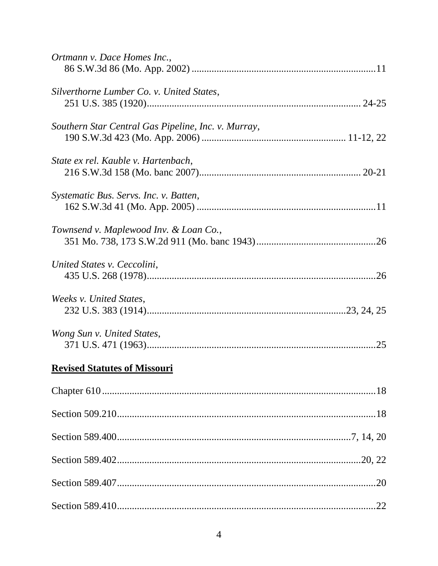| Ortmann v. Dace Homes Inc.,                         |
|-----------------------------------------------------|
| Silverthorne Lumber Co. v. United States,           |
| Southern Star Central Gas Pipeline, Inc. v. Murray, |
| State ex rel. Kauble v. Hartenbach,                 |
| Systematic Bus. Servs. Inc. v. Batten,              |
| Townsend v. Maplewood Inv. & Loan Co.,              |
| United States v. Ceccolini,                         |
| Weeks v. United States,                             |
| Wong Sun v. United States,                          |
| <b>Revised Statutes of Missouri</b>                 |
|                                                     |
|                                                     |
|                                                     |
|                                                     |
|                                                     |
|                                                     |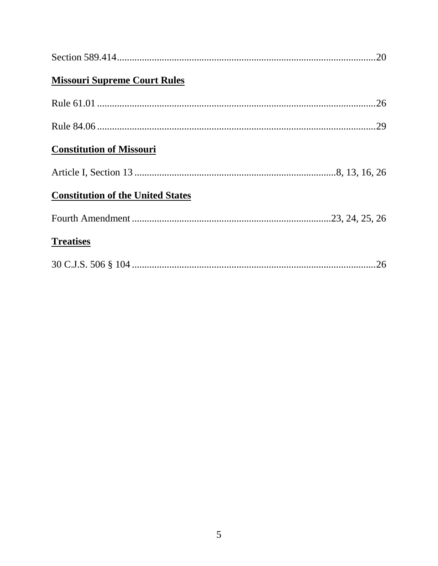| <b>Missouri Supreme Court Rules</b>      |  |
|------------------------------------------|--|
|                                          |  |
|                                          |  |
| <b>Constitution of Missouri</b>          |  |
|                                          |  |
| <b>Constitution of the United States</b> |  |
|                                          |  |
| <b>Treatises</b>                         |  |
|                                          |  |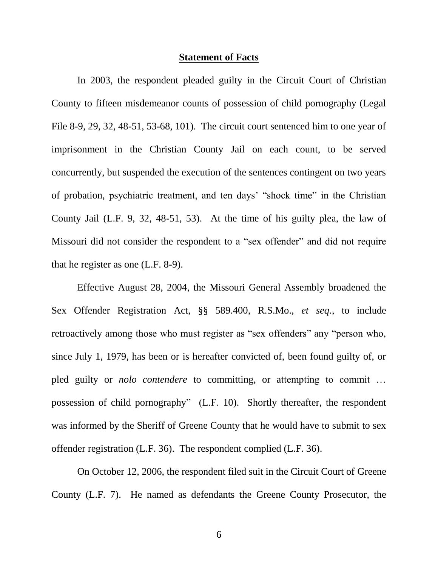#### **Statement of Facts**

In 2003, the respondent pleaded guilty in the Circuit Court of Christian County to fifteen misdemeanor counts of possession of child pornography (Legal File 8-9, 29, 32, 48-51, 53-68, 101). The circuit court sentenced him to one year of imprisonment in the Christian County Jail on each count, to be served concurrently, but suspended the execution of the sentences contingent on two years of probation, psychiatric treatment, and ten days' "shock time" in the Christian County Jail (L.F. 9, 32, 48-51, 53). At the time of his guilty plea, the law of Missouri did not consider the respondent to a "sex offender" and did not require that he register as one (L.F. 8-9).

Effective August 28, 2004, the Missouri General Assembly broadened the Sex Offender Registration Act, §§ 589.400, R.S.Mo., *et seq.*, to include retroactively among those who must register as "sex offenders" any "person who, since July 1, 1979, has been or is hereafter convicted of, been found guilty of, or pled guilty or *nolo contendere* to committing, or attempting to commit ... possession of child pornography" (L.F. 10). Shortly thereafter, the respondent was informed by the Sheriff of Greene County that he would have to submit to sex offender registration (L.F. 36). The respondent complied (L.F. 36).

On October 12, 2006, the respondent filed suit in the Circuit Court of Greene County (L.F. 7). He named as defendants the Greene County Prosecutor, the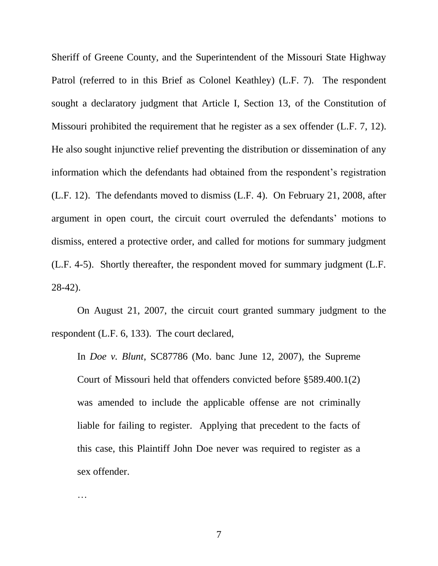Sheriff of Greene County, and the Superintendent of the Missouri State Highway Patrol (referred to in this Brief as Colonel Keathley) (L.F. 7). The respondent sought a declaratory judgment that Article I, Section 13, of the Constitution of Missouri prohibited the requirement that he register as a sex offender (L.F. 7, 12). He also sought injunctive relief preventing the distribution or dissemination of any information which the defendants had obtained from the respondent's registration (L.F. 12). The defendants moved to dismiss (L.F. 4). On February 21, 2008, after argument in open court, the circuit court overruled the defendants' motions to dismiss, entered a protective order, and called for motions for summary judgment (L.F. 4-5). Shortly thereafter, the respondent moved for summary judgment (L.F. 28-42).

On August 21, 2007, the circuit court granted summary judgment to the respondent (L.F. 6, 133). The court declared,

In *Doe v. Blunt*, SC87786 (Mo. banc June 12, 2007), the Supreme Court of Missouri held that offenders convicted before §589.400.1(2) was amended to include the applicable offense are not criminally liable for failing to register. Applying that precedent to the facts of this case, this Plaintiff John Doe never was required to register as a sex offender.

…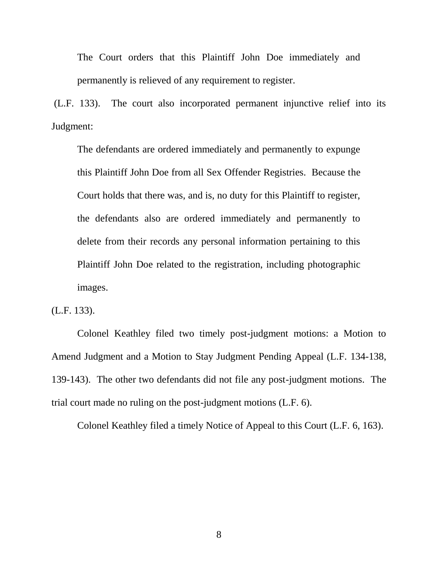The Court orders that this Plaintiff John Doe immediately and permanently is relieved of any requirement to register.

(L.F. 133). The court also incorporated permanent injunctive relief into its Judgment:

The defendants are ordered immediately and permanently to expunge this Plaintiff John Doe from all Sex Offender Registries. Because the Court holds that there was, and is, no duty for this Plaintiff to register, the defendants also are ordered immediately and permanently to delete from their records any personal information pertaining to this Plaintiff John Doe related to the registration, including photographic images.

(L.F. 133).

Colonel Keathley filed two timely post-judgment motions: a Motion to Amend Judgment and a Motion to Stay Judgment Pending Appeal (L.F. 134-138, 139-143). The other two defendants did not file any post-judgment motions. The trial court made no ruling on the post-judgment motions (L.F. 6).

Colonel Keathley filed a timely Notice of Appeal to this Court (L.F. 6, 163).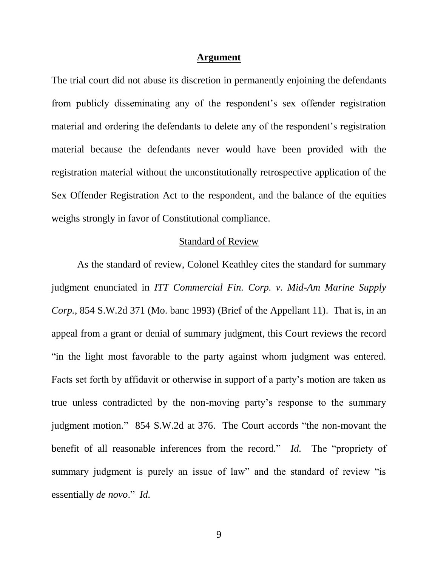#### **Argument**

The trial court did not abuse its discretion in permanently enjoining the defendants from publicly disseminating any of the respondent's sex offender registration material and ordering the defendants to delete any of the respondent's registration material because the defendants never would have been provided with the registration material without the unconstitutionally retrospective application of the Sex Offender Registration Act to the respondent, and the balance of the equities weighs strongly in favor of Constitutional compliance.

### Standard of Review

As the standard of review, Colonel Keathley cites the standard for summary judgment enunciated in *ITT Commercial Fin. Corp. v. Mid-Am Marine Supply Corp.*, 854 S.W.2d 371 (Mo. banc 1993) (Brief of the Appellant 11). That is, in an appeal from a grant or denial of summary judgment, this Court reviews the record "in the light most favorable to the party against whom judgment was entered. Facts set forth by affidavit or otherwise in support of a party's motion are taken as true unless contradicted by the non-moving party's response to the summary judgment motion." 854 S.W.2d at 376. The Court accords "the non-movant the benefit of all reasonable inferences from the record." *Id.* The "propriety of summary judgment is purely an issue of law" and the standard of review "is essentially *de novo*." *Id.*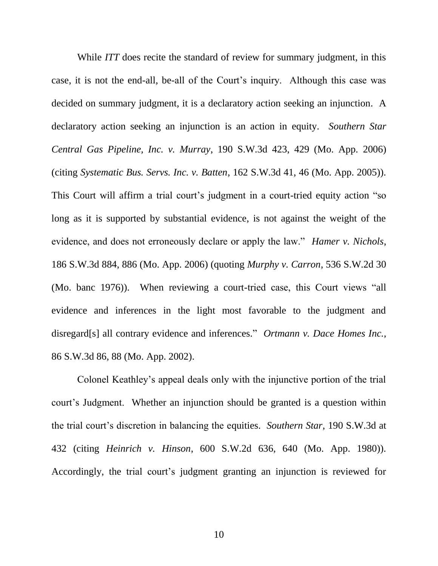While *ITT* does recite the standard of review for summary judgment, in this case, it is not the end-all, be-all of the Court's inquiry. Although this case was decided on summary judgment, it is a declaratory action seeking an injunction. A declaratory action seeking an injunction is an action in equity. *Southern Star Central Gas Pipeline, Inc. v. Murray*, 190 S.W.3d 423, 429 (Mo. App. 2006) (citing *Systematic Bus. Servs. Inc. v. Batten*, 162 S.W.3d 41, 46 (Mo. App. 2005)). This Court will affirm a trial court's judgment in a court-tried equity action "so long as it is supported by substantial evidence, is not against the weight of the evidence, and does not erroneously declare or apply the law." *Hamer v. Nichols*, 186 S.W.3d 884, 886 (Mo. App. 2006) (quoting *Murphy v. Carron*, 536 S.W.2d 30 (Mo. banc 1976)). When reviewing a court-tried case, this Court views "all evidence and inferences in the light most favorable to the judgment and disregard[s] all contrary evidence and inferences." *Ortmann v. Dace Homes Inc.*, 86 S.W.3d 86, 88 (Mo. App. 2002).

Colonel Keathley's appeal deals only with the injunctive portion of the trial court's Judgment. Whether an injunction should be granted is a question within the trial court's discretion in balancing the equities. *Southern Star*, 190 S.W.3d at 432 (citing *Heinrich v. Hinson*, 600 S.W.2d 636, 640 (Mo. App. 1980)). Accordingly, the trial court's judgment granting an injunction is reviewed for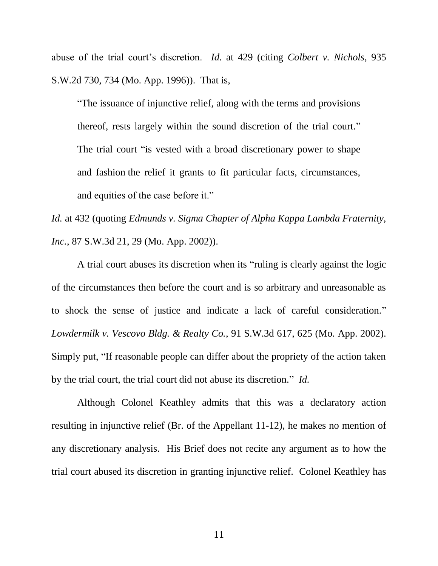abuse of the trial court's discretion. *Id.* at 429 (citing *Colbert v. Nichols*, 935 S.W.2d 730, 734 (Mo. App. 1996)). That is,

"The issuance of injunctive relief, along with the terms and provisions thereof, rests largely within the sound discretion of the trial court." The trial court "is vested with a broad discretionary power to shape and fashion the relief it grants to fit particular facts, circumstances, and equities of the case before it."

*Id.* at 432 (quoting *Edmunds v. Sigma Chapter of Alpha Kappa Lambda Fraternity, Inc.*, 87 S.W.3d 21, 29 (Mo. App. 2002)).

A trial court abuses its discretion when its "ruling is clearly against the logic of the circumstances then before the court and is so arbitrary and unreasonable as to shock the sense of justice and indicate a lack of careful consideration." *Lowdermilk v. Vescovo Bldg. & Realty Co.*, 91 S.W.3d 617, 625 (Mo. App. 2002). Simply put, "If reasonable people can differ about the propriety of the action taken by the trial court, the trial court did not abuse its discretion." *Id.*

Although Colonel Keathley admits that this was a declaratory action resulting in injunctive relief (Br. of the Appellant 11-12), he makes no mention of any discretionary analysis. His Brief does not recite any argument as to how the trial court abused its discretion in granting injunctive relief. Colonel Keathley has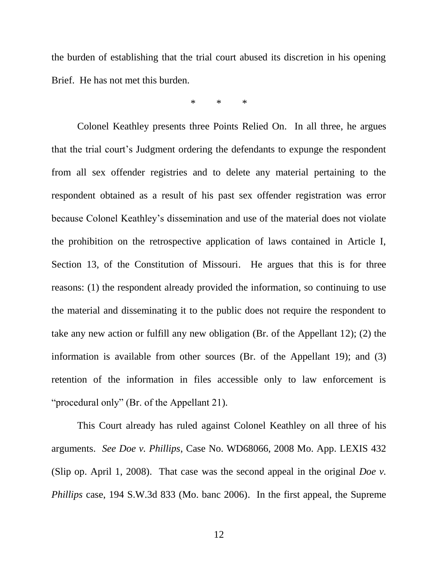the burden of establishing that the trial court abused its discretion in his opening Brief. He has not met this burden.

\* \* \*

Colonel Keathley presents three Points Relied On. In all three, he argues that the trial court's Judgment ordering the defendants to expunge the respondent from all sex offender registries and to delete any material pertaining to the respondent obtained as a result of his past sex offender registration was error because Colonel Keathley's dissemination and use of the material does not violate the prohibition on the retrospective application of laws contained in Article I, Section 13, of the Constitution of Missouri. He argues that this is for three reasons: (1) the respondent already provided the information, so continuing to use the material and disseminating it to the public does not require the respondent to take any new action or fulfill any new obligation (Br. of the Appellant 12); (2) the information is available from other sources (Br. of the Appellant 19); and (3) retention of the information in files accessible only to law enforcement is "procedural only" (Br. of the Appellant 21).

This Court already has ruled against Colonel Keathley on all three of his arguments. *See Doe v. Phillips*, Case No. WD68066, 2008 Mo. App. LEXIS 432 (Slip op. April 1, 2008). That case was the second appeal in the original *Doe v. Phillips* case, 194 S.W.3d 833 (Mo. banc 2006). In the first appeal, the Supreme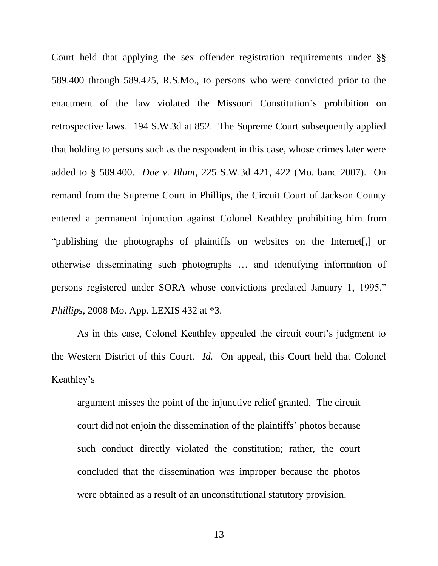Court held that applying the sex offender registration requirements under §§ 589.400 through 589.425, R.S.Mo., to persons who were convicted prior to the enactment of the law violated the Missouri Constitution's prohibition on retrospective laws. 194 S.W.3d at 852. The Supreme Court subsequently applied that holding to persons such as the respondent in this case, whose crimes later were added to § 589.400. *Doe v. Blunt*, 225 S.W.3d 421, 422 (Mo. banc 2007). On remand from the Supreme Court in Phillips, the Circuit Court of Jackson County entered a permanent injunction against Colonel Keathley prohibiting him from "publishing the photographs of plaintiffs on websites on the Internet[,] or otherwise disseminating such photographs … and identifying information of persons registered under SORA whose convictions predated January 1, 1995." *Phillips*, 2008 Mo. App. LEXIS 432 at \*3.

As in this case, Colonel Keathley appealed the circuit court's judgment to the Western District of this Court. *Id.* On appeal, this Court held that Colonel Keathley's

argument misses the point of the injunctive relief granted. The circuit court did not enjoin the dissemination of the plaintiffs' photos because such conduct directly violated the constitution; rather, the court concluded that the dissemination was improper because the photos were obtained as a result of an unconstitutional statutory provision.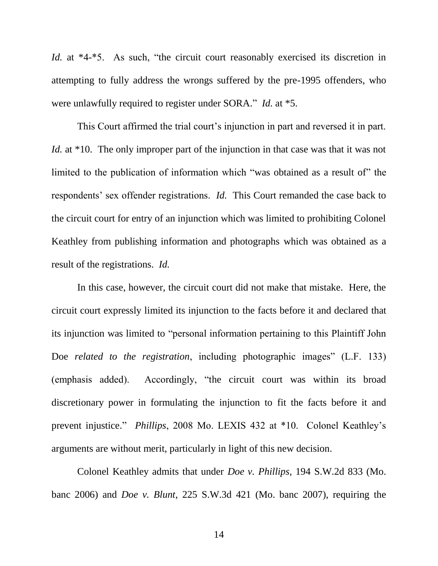*Id.* at \*4-\*5. As such, "the circuit court reasonably exercised its discretion in attempting to fully address the wrongs suffered by the pre-1995 offenders, who were unlawfully required to register under SORA." *Id.* at \*5.

This Court affirmed the trial court's injunction in part and reversed it in part. *Id.* at \*10. The only improper part of the injunction in that case was that it was not limited to the publication of information which "was obtained as a result of" the respondents' sex offender registrations. *Id.* This Court remanded the case back to the circuit court for entry of an injunction which was limited to prohibiting Colonel Keathley from publishing information and photographs which was obtained as a result of the registrations. *Id.*

In this case, however, the circuit court did not make that mistake. Here, the circuit court expressly limited its injunction to the facts before it and declared that its injunction was limited to "personal information pertaining to this Plaintiff John Doe *related to the registration*, including photographic images" (L.F. 133) (emphasis added). Accordingly, "the circuit court was within its broad discretionary power in formulating the injunction to fit the facts before it and prevent injustice." *Phillips*, 2008 Mo. LEXIS 432 at \*10. Colonel Keathley's arguments are without merit, particularly in light of this new decision.

Colonel Keathley admits that under *Doe v. Phillips*, 194 S.W.2d 833 (Mo. banc 2006) and *Doe v. Blunt*, 225 S.W.3d 421 (Mo. banc 2007), requiring the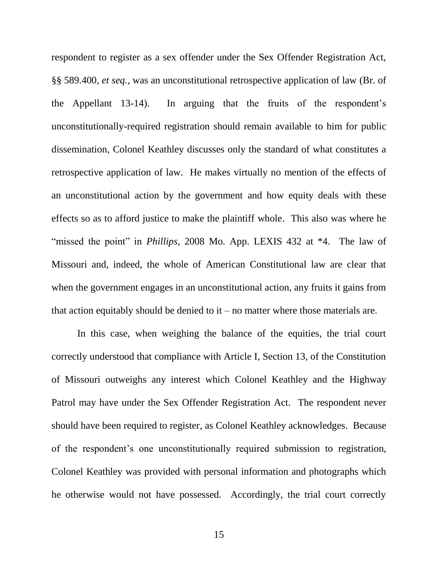respondent to register as a sex offender under the Sex Offender Registration Act, §§ 589.400, *et seq.*, was an unconstitutional retrospective application of law (Br. of the Appellant 13-14). In arguing that the fruits of the respondent's unconstitutionally-required registration should remain available to him for public dissemination, Colonel Keathley discusses only the standard of what constitutes a retrospective application of law. He makes virtually no mention of the effects of an unconstitutional action by the government and how equity deals with these effects so as to afford justice to make the plaintiff whole. This also was where he "missed the point" in *Phillips*, 2008 Mo. App. LEXIS 432 at \*4. The law of Missouri and, indeed, the whole of American Constitutional law are clear that when the government engages in an unconstitutional action, any fruits it gains from that action equitably should be denied to  $it$  – no matter where those materials are.

In this case, when weighing the balance of the equities, the trial court correctly understood that compliance with Article I, Section 13, of the Constitution of Missouri outweighs any interest which Colonel Keathley and the Highway Patrol may have under the Sex Offender Registration Act. The respondent never should have been required to register, as Colonel Keathley acknowledges. Because of the respondent's one unconstitutionally required submission to registration, Colonel Keathley was provided with personal information and photographs which he otherwise would not have possessed. Accordingly, the trial court correctly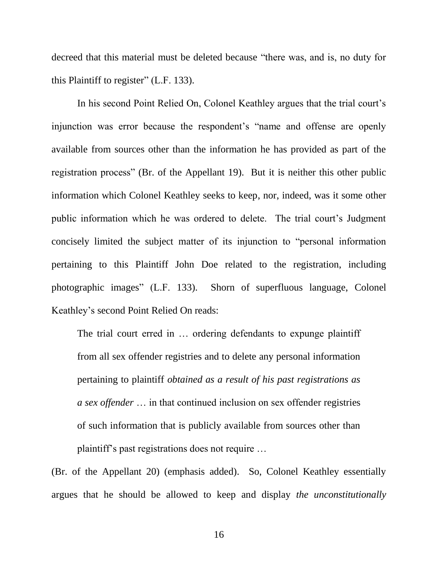decreed that this material must be deleted because "there was, and is, no duty for this Plaintiff to register" (L.F. 133).

In his second Point Relied On, Colonel Keathley argues that the trial court's injunction was error because the respondent's "name and offense are openly available from sources other than the information he has provided as part of the registration process" (Br. of the Appellant 19). But it is neither this other public information which Colonel Keathley seeks to keep, nor, indeed, was it some other public information which he was ordered to delete. The trial court's Judgment concisely limited the subject matter of its injunction to "personal information pertaining to this Plaintiff John Doe related to the registration, including photographic images" (L.F. 133). Shorn of superfluous language, Colonel Keathley's second Point Relied On reads:

The trial court erred in … ordering defendants to expunge plaintiff from all sex offender registries and to delete any personal information pertaining to plaintiff *obtained as a result of his past registrations as a sex offender* … in that continued inclusion on sex offender registries of such information that is publicly available from sources other than plaintiff's past registrations does not require …

(Br. of the Appellant 20) (emphasis added). So, Colonel Keathley essentially argues that he should be allowed to keep and display *the unconstitutionally*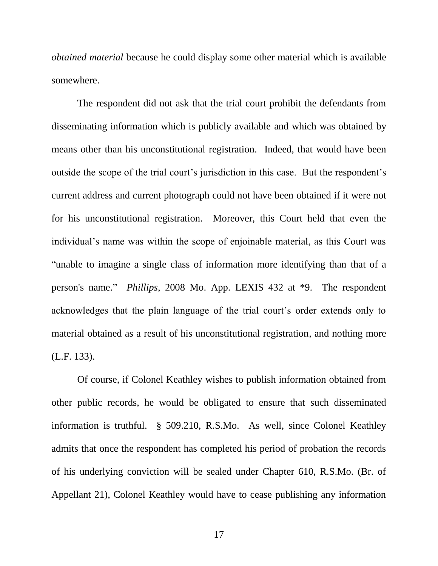*obtained material* because he could display some other material which is available somewhere.

The respondent did not ask that the trial court prohibit the defendants from disseminating information which is publicly available and which was obtained by means other than his unconstitutional registration. Indeed, that would have been outside the scope of the trial court's jurisdiction in this case. But the respondent's current address and current photograph could not have been obtained if it were not for his unconstitutional registration. Moreover, this Court held that even the individual's name was within the scope of enjoinable material, as this Court was "unable to imagine a single class of information more identifying than that of a person's name." *Phillips*, 2008 Mo. App. LEXIS 432 at \*9. The respondent acknowledges that the plain language of the trial court's order extends only to material obtained as a result of his unconstitutional registration, and nothing more (L.F. 133).

Of course, if Colonel Keathley wishes to publish information obtained from other public records, he would be obligated to ensure that such disseminated information is truthful. § 509.210, R.S.Mo. As well, since Colonel Keathley admits that once the respondent has completed his period of probation the records of his underlying conviction will be sealed under Chapter 610, R.S.Mo. (Br. of Appellant 21), Colonel Keathley would have to cease publishing any information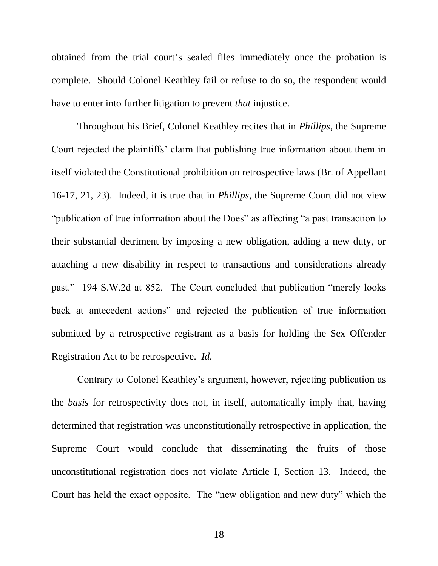obtained from the trial court's sealed files immediately once the probation is complete. Should Colonel Keathley fail or refuse to do so, the respondent would have to enter into further litigation to prevent *that* injustice.

Throughout his Brief, Colonel Keathley recites that in *Phillips*, the Supreme Court rejected the plaintiffs' claim that publishing true information about them in itself violated the Constitutional prohibition on retrospective laws (Br. of Appellant 16-17, 21, 23). Indeed, it is true that in *Phillips*, the Supreme Court did not view "publication of true information about the Does" as affecting "a past transaction to their substantial detriment by imposing a new obligation, adding a new duty, or attaching a new disability in respect to transactions and considerations already past." 194 S.W.2d at 852. The Court concluded that publication "merely looks back at antecedent actions" and rejected the publication of true information submitted by a retrospective registrant as a basis for holding the Sex Offender Registration Act to be retrospective. *Id.*

Contrary to Colonel Keathley's argument, however, rejecting publication as the *basis* for retrospectivity does not, in itself, automatically imply that, having determined that registration was unconstitutionally retrospective in application, the Supreme Court would conclude that disseminating the fruits of those unconstitutional registration does not violate Article I, Section 13. Indeed, the Court has held the exact opposite. The "new obligation and new duty" which the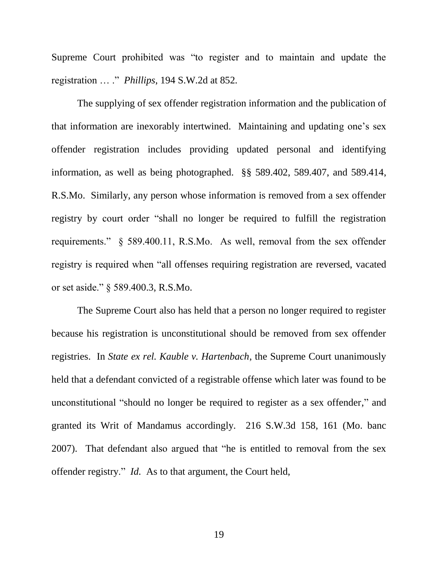Supreme Court prohibited was "to register and to maintain and update the registration … ." *Phillips*, 194 S.W.2d at 852*.*

The supplying of sex offender registration information and the publication of that information are inexorably intertwined. Maintaining and updating one's sex offender registration includes providing updated personal and identifying information, as well as being photographed. §§ 589.402, 589.407, and 589.414, R.S.Mo. Similarly, any person whose information is removed from a sex offender registry by court order "shall no longer be required to fulfill the registration requirements." § 589.400.11, R.S.Mo. As well, removal from the sex offender registry is required when "all offenses requiring registration are reversed, vacated or set aside." § 589.400.3, R.S.Mo.

The Supreme Court also has held that a person no longer required to register because his registration is unconstitutional should be removed from sex offender registries. In *State ex rel. Kauble v. Hartenbach*, the Supreme Court unanimously held that a defendant convicted of a registrable offense which later was found to be unconstitutional "should no longer be required to register as a sex offender," and granted its Writ of Mandamus accordingly. 216 S.W.3d 158, 161 (Mo. banc 2007). That defendant also argued that "he is entitled to removal from the sex offender registry." *Id.* As to that argument, the Court held,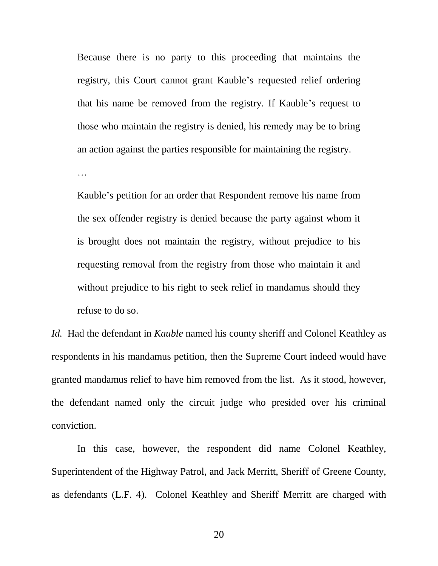Because there is no party to this proceeding that maintains the registry, this Court cannot grant Kauble's requested relief ordering that his name be removed from the registry. If Kauble's request to those who maintain the registry is denied, his remedy may be to bring an action against the parties responsible for maintaining the registry.

…

Kauble's petition for an order that Respondent remove his name from the sex offender registry is denied because the party against whom it is brought does not maintain the registry, without prejudice to his requesting removal from the registry from those who maintain it and without prejudice to his right to seek relief in mandamus should they refuse to do so.

*Id.* Had the defendant in *Kauble* named his county sheriff and Colonel Keathley as respondents in his mandamus petition, then the Supreme Court indeed would have granted mandamus relief to have him removed from the list. As it stood, however, the defendant named only the circuit judge who presided over his criminal conviction.

In this case, however, the respondent did name Colonel Keathley, Superintendent of the Highway Patrol, and Jack Merritt, Sheriff of Greene County, as defendants (L.F. 4). Colonel Keathley and Sheriff Merritt are charged with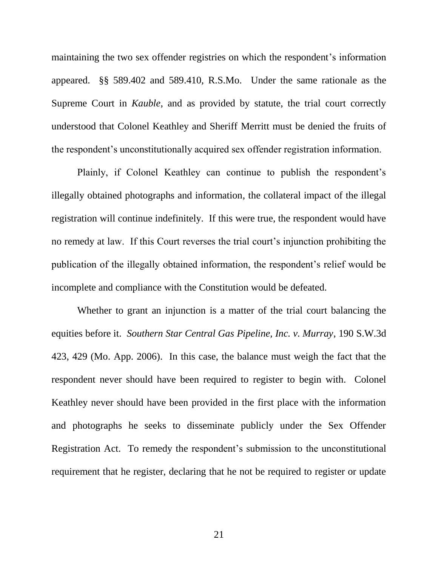maintaining the two sex offender registries on which the respondent's information appeared. §§ 589.402 and 589.410, R.S.Mo. Under the same rationale as the Supreme Court in *Kauble*, and as provided by statute, the trial court correctly understood that Colonel Keathley and Sheriff Merritt must be denied the fruits of the respondent's unconstitutionally acquired sex offender registration information.

Plainly, if Colonel Keathley can continue to publish the respondent's illegally obtained photographs and information, the collateral impact of the illegal registration will continue indefinitely. If this were true, the respondent would have no remedy at law. If this Court reverses the trial court's injunction prohibiting the publication of the illegally obtained information, the respondent's relief would be incomplete and compliance with the Constitution would be defeated.

Whether to grant an injunction is a matter of the trial court balancing the equities before it. *Southern Star Central Gas Pipeline, Inc. v. Murray*, 190 S.W.3d 423, 429 (Mo. App. 2006). In this case, the balance must weigh the fact that the respondent never should have been required to register to begin with. Colonel Keathley never should have been provided in the first place with the information and photographs he seeks to disseminate publicly under the Sex Offender Registration Act. To remedy the respondent's submission to the unconstitutional requirement that he register, declaring that he not be required to register or update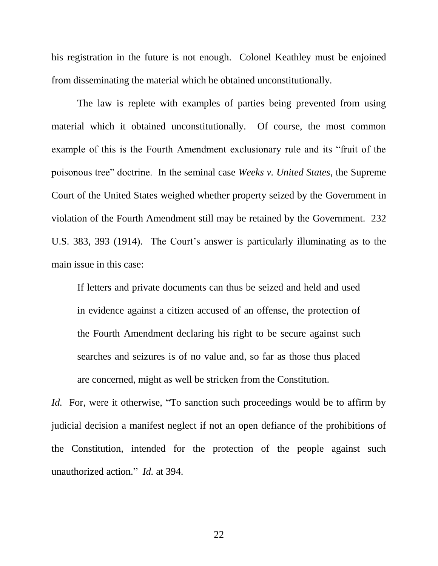his registration in the future is not enough. Colonel Keathley must be enjoined from disseminating the material which he obtained unconstitutionally.

The law is replete with examples of parties being prevented from using material which it obtained unconstitutionally. Of course, the most common example of this is the Fourth Amendment exclusionary rule and its "fruit of the poisonous tree" doctrine. In the seminal case *Weeks v. United States*, the Supreme Court of the United States weighed whether property seized by the Government in violation of the Fourth Amendment still may be retained by the Government. 232 U.S. 383, 393 (1914). The Court's answer is particularly illuminating as to the main issue in this case:

If letters and private documents can thus be seized and held and used in evidence against a citizen accused of an offense, the protection of the Fourth Amendment declaring his right to be secure against such searches and seizures is of no value and, so far as those thus placed are concerned, might as well be stricken from the Constitution.

*Id.* For, were it otherwise, "To sanction such proceedings would be to affirm by judicial decision a manifest neglect if not an open defiance of the prohibitions of the Constitution, intended for the protection of the people against such unauthorized action." *Id.* at 394.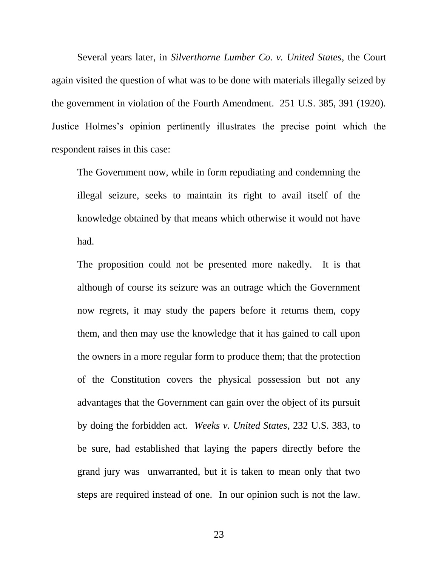Several years later, in *Silverthorne Lumber Co. v. United States*, the Court again visited the question of what was to be done with materials illegally seized by the government in violation of the Fourth Amendment. 251 U.S. 385, 391 (1920). Justice Holmes's opinion pertinently illustrates the precise point which the respondent raises in this case:

The Government now, while in form repudiating and condemning the illegal seizure, seeks to maintain its right to avail itself of the knowledge obtained by that means which otherwise it would not have had.

The proposition could not be presented more nakedly. It is that although of course its seizure was an outrage which the Government now regrets, it may study the papers before it returns them, copy them, and then may use the knowledge that it has gained to call upon the owners in a more regular form to produce them; that the protection of the Constitution covers the physical possession but not any advantages that the Government can gain over the object of its pursuit by doing the forbidden act. *Weeks v. United States*, 232 U.S. 383, to be sure, had established that laying the papers directly before the grand jury was unwarranted, but it is taken to mean only that two steps are required instead of one. In our opinion such is not the law.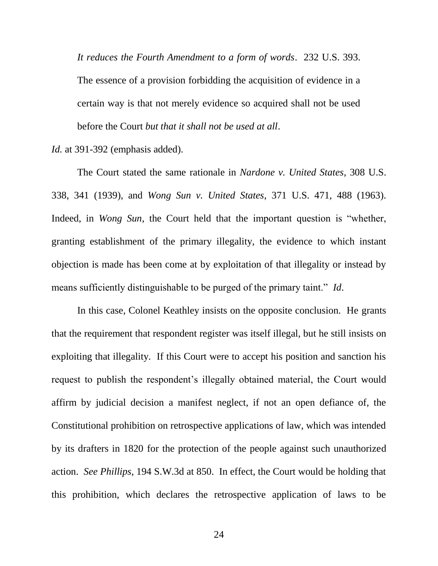*It reduces the Fourth Amendment to a form of words*. 232 U.S. 393. The essence of a provision forbidding the acquisition of evidence in a certain way is that not merely evidence so acquired shall not be used before the Court *but that it shall not be used at all*.

*Id.* at 391-392 (emphasis added).

The Court stated the same rationale in *Nardone v. United States*, 308 U.S. 338, 341 (1939), and *Wong Sun v. United States*, 371 U.S. 471, 488 (1963). Indeed, in *Wong Sun*, the Court held that the important question is "whether, granting establishment of the primary illegality, the evidence to which instant objection is made has been come at by exploitation of that illegality or instead by means sufficiently distinguishable to be purged of the primary taint." *Id*.

In this case, Colonel Keathley insists on the opposite conclusion. He grants that the requirement that respondent register was itself illegal, but he still insists on exploiting that illegality. If this Court were to accept his position and sanction his request to publish the respondent's illegally obtained material, the Court would affirm by judicial decision a manifest neglect, if not an open defiance of, the Constitutional prohibition on retrospective applications of law, which was intended by its drafters in 1820 for the protection of the people against such unauthorized action. *See Phillips*, 194 S.W.3d at 850. In effect, the Court would be holding that this prohibition, which declares the retrospective application of laws to be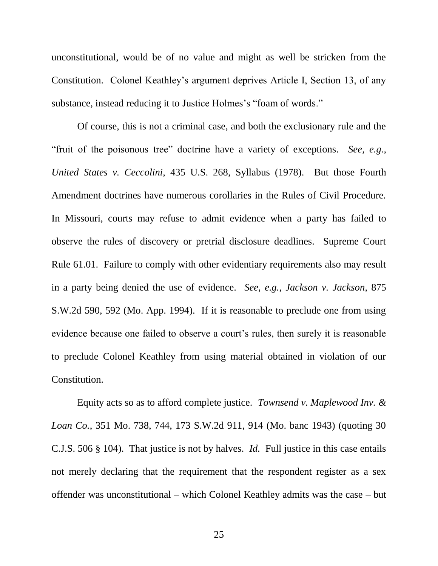unconstitutional, would be of no value and might as well be stricken from the Constitution. Colonel Keathley's argument deprives Article I, Section 13, of any substance, instead reducing it to Justice Holmes's "foam of words."

Of course, this is not a criminal case, and both the exclusionary rule and the "fruit of the poisonous tree" doctrine have a variety of exceptions. *See, e.g.*, *United States v. Ceccolini*, 435 U.S. 268, Syllabus (1978). But those Fourth Amendment doctrines have numerous corollaries in the Rules of Civil Procedure. In Missouri, courts may refuse to admit evidence when a party has failed to observe the rules of discovery or pretrial disclosure deadlines. Supreme Court Rule 61.01. Failure to comply with other evidentiary requirements also may result in a party being denied the use of evidence. *See, e.g.*, *Jackson v. Jackson*, 875 S.W.2d 590, 592 (Mo. App. 1994). If it is reasonable to preclude one from using evidence because one failed to observe a court's rules, then surely it is reasonable to preclude Colonel Keathley from using material obtained in violation of our Constitution.

Equity acts so as to afford complete justice. *Townsend v. Maplewood Inv. & Loan Co.*, 351 Mo. 738, 744, 173 S.W.2d 911, 914 (Mo. banc 1943) (quoting 30 C.J.S. 506 § 104). That justice is not by halves. *Id.* Full justice in this case entails not merely declaring that the requirement that the respondent register as a sex offender was unconstitutional – which Colonel Keathley admits was the case – but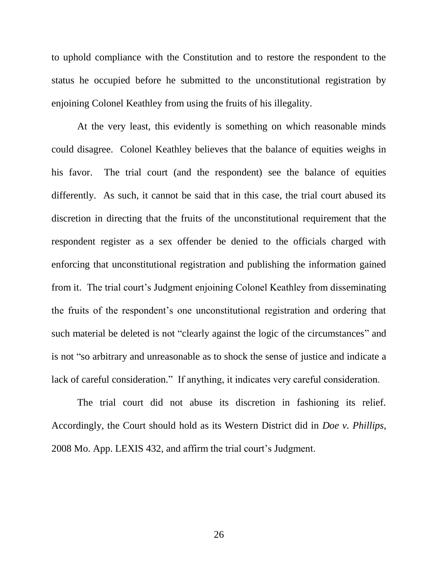to uphold compliance with the Constitution and to restore the respondent to the status he occupied before he submitted to the unconstitutional registration by enjoining Colonel Keathley from using the fruits of his illegality.

At the very least, this evidently is something on which reasonable minds could disagree. Colonel Keathley believes that the balance of equities weighs in his favor. The trial court (and the respondent) see the balance of equities differently. As such, it cannot be said that in this case, the trial court abused its discretion in directing that the fruits of the unconstitutional requirement that the respondent register as a sex offender be denied to the officials charged with enforcing that unconstitutional registration and publishing the information gained from it. The trial court's Judgment enjoining Colonel Keathley from disseminating the fruits of the respondent's one unconstitutional registration and ordering that such material be deleted is not "clearly against the logic of the circumstances" and is not "so arbitrary and unreasonable as to shock the sense of justice and indicate a lack of careful consideration." If anything, it indicates very careful consideration.

The trial court did not abuse its discretion in fashioning its relief. Accordingly, the Court should hold as its Western District did in *Doe v. Phillips*, 2008 Mo. App. LEXIS 432, and affirm the trial court's Judgment.